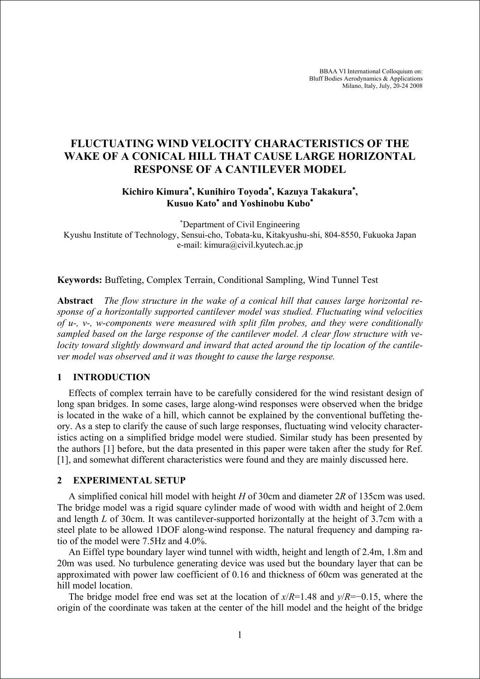BBAA VI International Colloquium on: Bluff Bodies Aerodynamics & Applications Milano, Italy, July, 20-24 2008

# **FLUCTUATING WIND VELOCITY CHARACTERISTICS OF THE WAKE OF A CONICAL HILL THAT CAUSE LARGE HORIZONTAL RESPONSE OF A CANTILEVER MODEL**

# **Kichiro Kimura**<sup>∗</sup> **, Kunihiro Toyoda**<sup>∗</sup> **, Kazuya Takakura**<sup>∗</sup> **, Kusuo Kato**<sup>∗</sup>  **and Yoshinobu Kubo**<sup>∗</sup>

∗ Department of Civil Engineering Kyushu Institute of Technology, Sensui-cho, Tobata-ku, Kitakyushu-shi, 804-8550, Fukuoka Japan e-mail: kimura@civil.kyutech.ac.jp

**Keywords:** Buffeting, Complex Terrain, Conditional Sampling, Wind Tunnel Test

**Abstract** *The flow structure in the wake of a conical hill that causes large horizontal response of a horizontally supported cantilever model was studied. Fluctuating wind velocities of u-, v-, w-components were measured with split film probes, and they were conditionally sampled based on the large response of the cantilever model. A clear flow structure with velocity toward slightly downward and inward that acted around the tip location of the cantilever model was observed and it was thought to cause the large response.*

## **1 INTRODUCTION**

Effects of complex terrain have to be carefully considered for the wind resistant design of long span bridges. In some cases, large along-wind responses were observed when the bridge is located in the wake of a hill, which cannot be explained by the conventional buffeting theory. As a step to clarify the cause of such large responses, fluctuating wind velocity characteristics acting on a simplified bridge model were studied. Similar study has been presented by the authors [1] before, but the data presented in this paper were taken after the study for Ref. [1], and somewhat different characteristics were found and they are mainly discussed here.

### **2 EXPERIMENTAL SETUP**

A simplified conical hill model with height *H* of 30cm and diameter 2*R* of 135cm was used. The bridge model was a rigid square cylinder made of wood with width and height of 2.0cm and length *L* of 30cm. It was cantilever-supported horizontally at the height of 3.7cm with a steel plate to be allowed 1DOF along-wind response. The natural frequency and damping ratio of the model were 7.5Hz and 4.0%.

An Eiffel type boundary layer wind tunnel with width, height and length of 2.4m, 1.8m and 20m was used. No turbulence generating device was used but the boundary layer that can be approximated with power law coefficient of 0.16 and thickness of 60cm was generated at the hill model location.

The bridge model free end was set at the location of *x*/*R*=1.48 and *y*/*R*=−0.15, where the origin of the coordinate was taken at the center of the hill model and the height of the bridge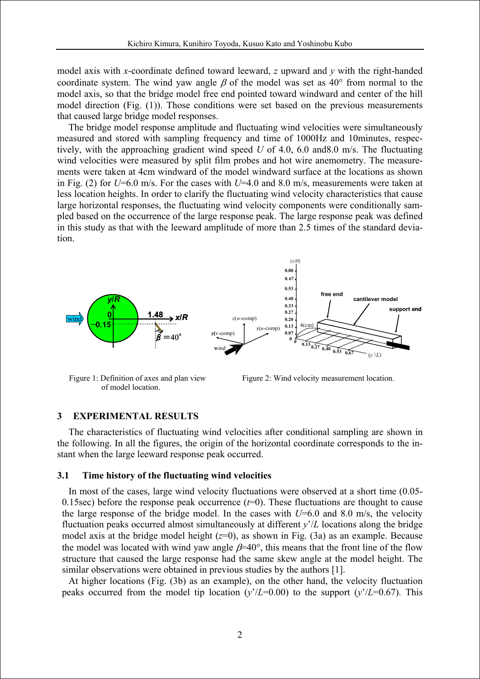model axis with *x*-coordinate defined toward leeward, *z* upward and *y* with the right-handed coordinate system. The wind yaw angle  $\beta$  of the model was set as 40° from normal to the model axis, so that the bridge model free end pointed toward windward and center of the hill model direction (Fig. (1)). Those conditions were set based on the previous measurements that caused large bridge model responses.

The bridge model response amplitude and fluctuating wind velocities were simultaneously measured and stored with sampling frequency and time of 1000Hz and 10minutes, respectively, with the approaching gradient wind speed *U* of 4.0, 6.0 and8.0 m/s. The fluctuating wind velocities were measured by split film probes and hot wire anemometry. The measurements were taken at 4cm windward of the model windward surface at the locations as shown in Fig. (2) for *U*=6.0 m/s. For the cases with *U*=4.0 and 8.0 m/s, measurements were taken at less location heights. In order to clarify the fluctuating wind velocity characteristics that cause large horizontal responses, the fluctuating wind velocity components were conditionally sampled based on the occurrence of the large response peak. The large response peak was defined in this study as that with the leeward amplitude of more than 2.5 times of the standard deviation.





Figure 1: Definition of axes and plan view Figure 2: Wind velocity measurement location. of model location.

#### **3 EXPERIMENTAL RESULTS**

The characteristics of fluctuating wind velocities after conditional sampling are shown in the following. In all the figures, the origin of the horizontal coordinate corresponds to the instant when the large leeward response peak occurred.

#### **3.1 Time history of the fluctuating wind velocities**

In most of the cases, large wind velocity fluctuations were observed at a short time (0.05- 0.15sec) before the response peak occurrence  $(t=0)$ . These fluctuations are thought to cause the large response of the bridge model. In the cases with  $U=6.0$  and 8.0 m/s, the velocity fluctuation peaks occurred almost simultaneously at different *y*'/*L* locations along the bridge model axis at the bridge model height (*z*=0), as shown in Fig. (3a) as an example. Because the model was located with wind yaw angle  $\beta$ =40°, this means that the front line of the flow structure that caused the large response had the same skew angle at the model height. The similar observations were obtained in previous studies by the authors [1].

At higher locations (Fig. (3b) as an example), on the other hand, the velocity fluctuation peaks occurred from the model tip location  $(y'/L=0.00)$  to the support  $(y'/L=0.67)$ . This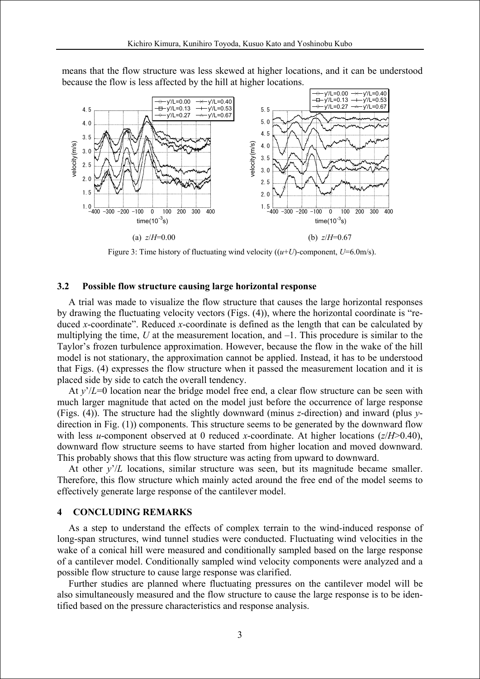

means that the flow structure was less skewed at higher locations, and it can be understood because the flow is less affected by the hill at higher locations.

Figure 3: Time history of fluctuating wind velocity ((*u*+*U*)-component, *U*=6.0m/s).

### **3.2 Possible flow structure causing large horizontal response**

A trial was made to visualize the flow structure that causes the large horizontal responses by drawing the fluctuating velocity vectors (Figs. (4)), where the horizontal coordinate is "reduced *x*-coordinate". Reduced *x*-coordinate is defined as the length that can be calculated by multiplying the time,  $U$  at the measurement location, and  $-1$ . This procedure is similar to the Taylor's frozen turbulence approximation. However, because the flow in the wake of the hill model is not stationary, the approximation cannot be applied. Instead, it has to be understood that Figs. (4) expresses the flow structure when it passed the measurement location and it is placed side by side to catch the overall tendency.

At *y*'/*L*=0 location near the bridge model free end, a clear flow structure can be seen with much larger magnitude that acted on the model just before the occurrence of large response (Figs. (4)). The structure had the slightly downward (minus *z*-direction) and inward (plus *y*direction in Fig. (1)) components. This structure seems to be generated by the downward flow with less *u*-component observed at 0 reduced *x*-coordinate. At higher locations (*z*/*H*>0.40), downward flow structure seems to have started from higher location and moved downward. This probably shows that this flow structure was acting from upward to downward.

At other  $y'/L$  locations, similar structure was seen, but its magnitude became smaller. Therefore, this flow structure which mainly acted around the free end of the model seems to effectively generate large response of the cantilever model.

#### **4 CONCLUDING REMARKS**

As a step to understand the effects of complex terrain to the wind-induced response of long-span structures, wind tunnel studies were conducted. Fluctuating wind velocities in the wake of a conical hill were measured and conditionally sampled based on the large response of a cantilever model. Conditionally sampled wind velocity components were analyzed and a possible flow structure to cause large response was clarified.

Further studies are planned where fluctuating pressures on the cantilever model will be also simultaneously measured and the flow structure to cause the large response is to be identified based on the pressure characteristics and response analysis.